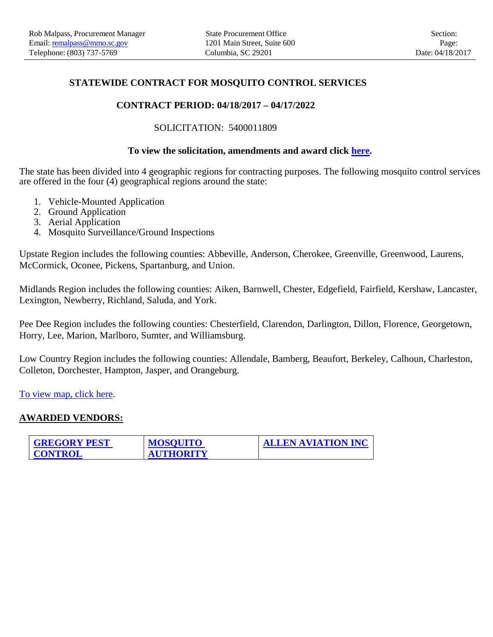## **STATEWIDE CONTRACT FOR MOSQUITO CONTROL SERVICES**

## **CONTRACT PERIOD: 04/18/2017 – 04/17/2022**

SOLICITATION: 5400011809

## **To view the solicitation, amendments and award click [here.](http://webprod.cio.sc.gov/SCSolicitationWeb/contractSearch.do?solicitnumber=5400011809)**

The state has been divided into 4 geographic regions for contracting purposes. The following mosquito control services are offered in the four (4) geographical regions around the state:

- 1. Vehicle-Mounted Application
- 2. Ground Application
- 3. Aerial Application
- 4. Mosquito Surveillance/Ground Inspections

Upstate Region includes the following counties: Abbeville, Anderson, Cherokee, Greenville, Greenwood, Laurens, McCormick, Oconee, Pickens, Spartanburg, and Union.

Midlands Region includes the following counties: Aiken, Barnwell, Chester, Edgefield, Fairfield, Kershaw, Lancaster, Lexington, Newberry, Richland, Saluda, and York.

Pee Dee Region includes the following counties: Chesterfield, Clarendon, Darlington, Dillon, Florence, Georgetown, Horry, Lee, Marion, Marlboro, Sumter, and Williamsburg.

Low Country Region includes the following counties: Allendale, Bamberg, Beaufort, Berkeley, Calhoun, Charleston, Colleton, Dorchester, Hampton, Jasper, and Orangeburg.

[To view map, click here.](https://procurement.sc.gov/files/webfiles/DHEC_Region%20Map.pdf)

## **AWARDED VENDORS:**

| <b>GREGORY PEST</b> | <b>MOSQUITO</b>  | <b>ALLEN AVIATION INC</b> |
|---------------------|------------------|---------------------------|
| <b>CONTROL</b>      | <b>AUTHORITY</b> |                           |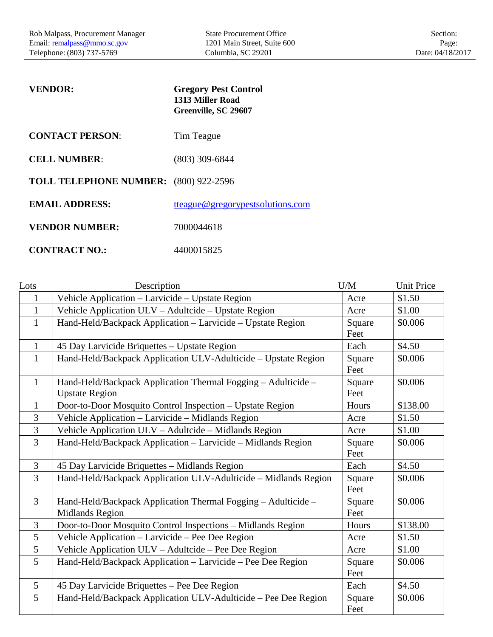<span id="page-1-0"></span>

| <b>VENDOR:</b>                               | <b>Gregory Pest Control</b><br>1313 Miller Road<br>Greenville, SC 29607 |
|----------------------------------------------|-------------------------------------------------------------------------|
| <b>CONTACT PERSON:</b>                       | Tim Teague                                                              |
| <b>CELL NUMBER:</b>                          | $(803)$ 309-6844                                                        |
| <b>TOLL TELEPHONE NUMBER:</b> (800) 922-2596 |                                                                         |
| <b>EMAIL ADDRESS:</b>                        | tteague@gregorypestsolutions.com                                        |
| <b>VENDOR NUMBER:</b>                        | 7000044618                                                              |
| <b>CONTRACT NO.:</b>                         | 4400015825                                                              |

| Lots           | Description                                                                             | U/M            | <b>Unit Price</b> |
|----------------|-----------------------------------------------------------------------------------------|----------------|-------------------|
| $\mathbf{1}$   | Vehicle Application - Larvicide - Upstate Region                                        | Acre           | \$1.50            |
| $\mathbf{1}$   | Vehicle Application ULV - Adultcide - Upstate Region                                    | Acre           | \$1.00            |
| $\mathbf{1}$   | Hand-Held/Backpack Application - Larvicide - Upstate Region                             | Square<br>Feet | \$0.006           |
| $\mathbf{1}$   | 45 Day Larvicide Briquettes - Upstate Region                                            | Each           | \$4.50            |
| 1              | Hand-Held/Backpack Application ULV-Adulticide - Upstate Region                          | Square<br>Feet | \$0.006           |
| $\mathbf{1}$   | Hand-Held/Backpack Application Thermal Fogging - Adulticide -<br><b>Upstate Region</b>  | Square<br>Feet | \$0.006           |
| $\mathbf{1}$   | Door-to-Door Mosquito Control Inspection - Upstate Region                               | Hours          | \$138.00          |
| 3              | Vehicle Application - Larvicide - Midlands Region                                       | Acre           | \$1.50            |
| $\overline{3}$ | Vehicle Application ULV - Adultcide - Midlands Region                                   | Acre           | \$1.00            |
| $\overline{3}$ | Hand-Held/Backpack Application - Larvicide - Midlands Region                            | Square<br>Feet | \$0.006           |
| 3              | 45 Day Larvicide Briquettes - Midlands Region                                           | Each           | \$4.50            |
| $\overline{3}$ | Hand-Held/Backpack Application ULV-Adulticide - Midlands Region                         | Square<br>Feet | \$0.006           |
| 3              | Hand-Held/Backpack Application Thermal Fogging - Adulticide -<br><b>Midlands Region</b> | Square<br>Feet | \$0.006           |
| $\overline{3}$ | Door-to-Door Mosquito Control Inspections - Midlands Region                             | Hours          | \$138.00          |
| 5              | Vehicle Application - Larvicide - Pee Dee Region                                        | Acre           | \$1.50            |
| 5              | Vehicle Application ULV - Adultcide - Pee Dee Region                                    | Acre           | \$1.00            |
| 5              | Hand-Held/Backpack Application - Larvicide - Pee Dee Region                             | Square<br>Feet | \$0.006           |
| 5              | 45 Day Larvicide Briquettes - Pee Dee Region                                            | Each           | \$4.50            |
| 5              | Hand-Held/Backpack Application ULV-Adulticide - Pee Dee Region                          | Square<br>Feet | \$0.006           |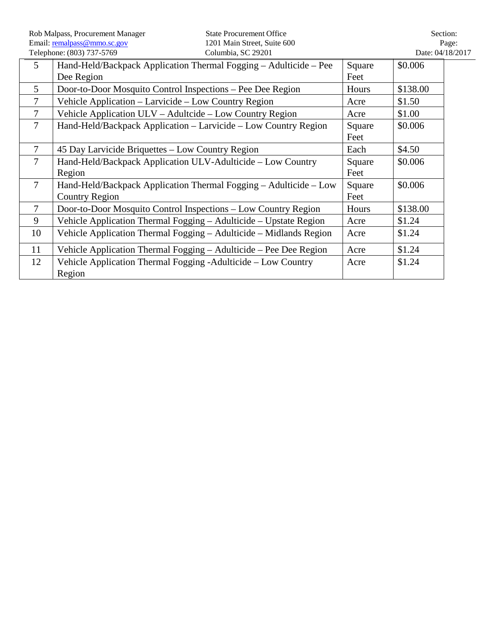|                | Rob Malpass, Procurement Manager<br>Email: remalpass@mmo.sc.gov                            | <b>State Procurement Office</b><br>1201 Main Street, Suite 600 |                |                  | Section:<br>Page: |
|----------------|--------------------------------------------------------------------------------------------|----------------------------------------------------------------|----------------|------------------|-------------------|
|                | Telephone: (803) 737-5769                                                                  | Columbia, SC 29201                                             |                | Date: 04/18/2017 |                   |
| 5              | Hand-Held/Backpack Application Thermal Fogging - Adulticide - Pee<br>Dee Region            |                                                                | Square<br>Feet | \$0.006          |                   |
| 5              | Door-to-Door Mosquito Control Inspections – Pee Dee Region                                 |                                                                | Hours          | \$138.00         |                   |
| $\tau$         | Vehicle Application - Larvicide - Low Country Region                                       |                                                                | Acre           | \$1.50           |                   |
| $\tau$         | Vehicle Application ULV – Adultcide – Low Country Region                                   |                                                                | Acre           | \$1.00           |                   |
| $\tau$         | Hand-Held/Backpack Application – Larvicide – Low Country Region                            |                                                                | Square<br>Feet | \$0.006          |                   |
| $\overline{7}$ | 45 Day Larvicide Briquettes – Low Country Region                                           |                                                                | Each           | \$4.50           |                   |
| $\overline{7}$ | Hand-Held/Backpack Application ULV-Adulticide – Low Country<br>Region                      |                                                                | Square<br>Feet | \$0.006          |                   |
| $\overline{7}$ | Hand-Held/Backpack Application Thermal Fogging – Adulticide – Low<br><b>Country Region</b> |                                                                | Square<br>Feet | \$0.006          |                   |
| $\overline{7}$ | Door-to-Door Mosquito Control Inspections – Low Country Region                             |                                                                | Hours          | \$138.00         |                   |
| 9              | Vehicle Application Thermal Fogging - Adulticide - Upstate Region                          |                                                                | Acre           | \$1.24           |                   |
| 10             | Vehicle Application Thermal Fogging – Adulticide – Midlands Region                         |                                                                | Acre           | \$1.24           |                   |
| 11             | Vehicle Application Thermal Fogging – Adulticide – Pee Dee Region                          |                                                                | Acre           | \$1.24           |                   |
| 12             | Vehicle Application Thermal Fogging - Adulticide - Low Country<br>Region                   |                                                                | Acre           | \$1.24           |                   |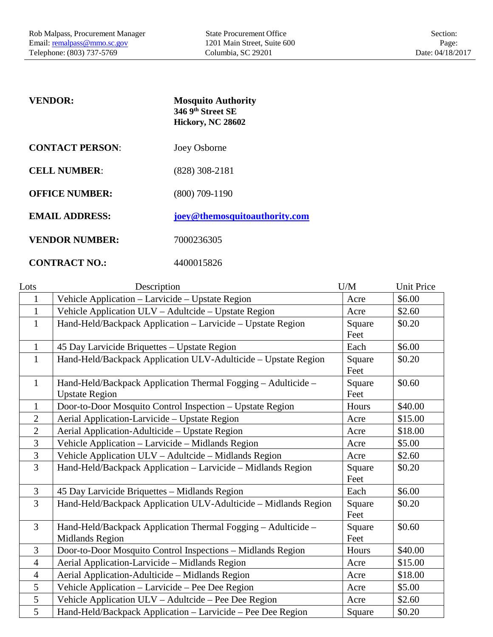<span id="page-3-0"></span>

| <b>VENDOR:</b>         | <b>Mosquito Authority</b><br>346 9th Street SE<br>Hickory, NC 28602 |
|------------------------|---------------------------------------------------------------------|
| <b>CONTACT PERSON:</b> | Joey Osborne                                                        |
| <b>CELL NUMBER:</b>    | $(828)$ 308-2181                                                    |
| <b>OFFICE NUMBER:</b>  | $(800)$ 709-1190                                                    |
| <b>EMAIL ADDRESS:</b>  | joey@themosquitoauthority.com                                       |
| <b>VENDOR NUMBER:</b>  | 7000236305                                                          |
| <b>CONTRACT NO.:</b>   | 4400015826                                                          |

| Lots           | Description                                                     | U/M    | <b>Unit Price</b> |
|----------------|-----------------------------------------------------------------|--------|-------------------|
| $\mathbf{1}$   | Vehicle Application - Larvicide - Upstate Region                | Acre   | \$6.00            |
| $\mathbf{1}$   | Vehicle Application ULV - Adultcide - Upstate Region            | Acre   | \$2.60            |
| $\mathbf{1}$   | Hand-Held/Backpack Application - Larvicide - Upstate Region     | Square | \$0.20            |
|                |                                                                 | Feet   |                   |
| $\mathbf{1}$   | 45 Day Larvicide Briquettes - Upstate Region                    | Each   | \$6.00            |
| $\mathbf{1}$   | Hand-Held/Backpack Application ULV-Adulticide - Upstate Region  | Square | \$0.20            |
|                |                                                                 | Feet   |                   |
| $\mathbf{1}$   | Hand-Held/Backpack Application Thermal Fogging - Adulticide -   | Square | \$0.60            |
|                | <b>Upstate Region</b>                                           | Feet   |                   |
| $\mathbf{1}$   | Door-to-Door Mosquito Control Inspection - Upstate Region       | Hours  | \$40.00           |
| $\overline{2}$ | Aerial Application-Larvicide - Upstate Region                   | Acre   | \$15.00           |
| $\overline{2}$ | Aerial Application-Adulticide – Upstate Region                  | Acre   | \$18.00           |
| 3              | Vehicle Application - Larvicide - Midlands Region               | Acre   | \$5.00            |
| $\overline{3}$ | Vehicle Application ULV - Adultcide - Midlands Region           | Acre   | \$2.60            |
| 3              | Hand-Held/Backpack Application - Larvicide - Midlands Region    | Square | \$0.20            |
|                |                                                                 | Feet   |                   |
| $\overline{3}$ | 45 Day Larvicide Briquettes - Midlands Region                   | Each   | \$6.00            |
| 3              | Hand-Held/Backpack Application ULV-Adulticide - Midlands Region | Square | \$0.20            |
|                |                                                                 | Feet   |                   |
| $\overline{3}$ | Hand-Held/Backpack Application Thermal Fogging - Adulticide -   | Square | \$0.60            |
|                | <b>Midlands Region</b>                                          | Feet   |                   |
| 3              | Door-to-Door Mosquito Control Inspections - Midlands Region     | Hours  | \$40.00           |
| $\overline{4}$ | Aerial Application-Larvicide - Midlands Region                  | Acre   | \$15.00           |
| $\overline{4}$ | Aerial Application-Adulticide - Midlands Region                 | Acre   | \$18.00           |
| $\mathfrak{S}$ | Vehicle Application – Larvicide – Pee Dee Region                | Acre   | \$5.00            |
| 5              | Vehicle Application ULV - Adultcide - Pee Dee Region            | Acre   | \$2.60            |
| 5              | Hand-Held/Backpack Application - Larvicide - Pee Dee Region     | Square | \$0.20            |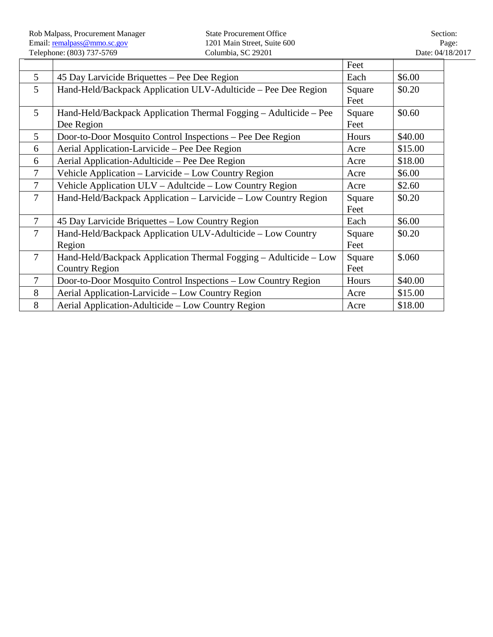$\mathbf{r}$ 

|                |                                                                   | Feet   |         |
|----------------|-------------------------------------------------------------------|--------|---------|
| 5              | 45 Day Larvicide Briquettes – Pee Dee Region                      | Each   | \$6.00  |
| 5 <sup>5</sup> | Hand-Held/Backpack Application ULV-Adulticide – Pee Dee Region    | Square | \$0.20  |
|                |                                                                   | Feet   |         |
| $\mathfrak{H}$ | Hand-Held/Backpack Application Thermal Fogging - Adulticide - Pee | Square | \$0.60  |
|                | Dee Region                                                        | Feet   |         |
| 5              | Door-to-Door Mosquito Control Inspections – Pee Dee Region        | Hours  | \$40.00 |
| 6              | Aerial Application-Larvicide – Pee Dee Region                     | Acre   | \$15.00 |
| 6              | Aerial Application-Adulticide – Pee Dee Region                    | Acre   | \$18.00 |
| $\tau$         | Vehicle Application – Larvicide – Low Country Region              | Acre   | \$6.00  |
| $\overline{7}$ | Vehicle Application ULV – Adultcide – Low Country Region          | Acre   | \$2.60  |
| $\overline{7}$ | Hand-Held/Backpack Application – Larvicide – Low Country Region   | Square | \$0.20  |
|                |                                                                   | Feet   |         |
| $\overline{7}$ | 45 Day Larvicide Briquettes - Low Country Region                  | Each   | \$6.00  |
| 7              | Hand-Held/Backpack Application ULV-Adulticide – Low Country       | Square | \$0.20  |
|                | Region                                                            | Feet   |         |
| $\overline{7}$ | Hand-Held/Backpack Application Thermal Fogging - Adulticide - Low | Square | \$.060  |
|                | <b>Country Region</b>                                             | Feet   |         |
| 7              | Door-to-Door Mosquito Control Inspections – Low Country Region    | Hours  | \$40.00 |
| 8              | Aerial Application-Larvicide – Low Country Region                 | Acre   | \$15.00 |
| 8              | Aerial Application-Adulticide – Low Country Region                | Acre   | \$18.00 |